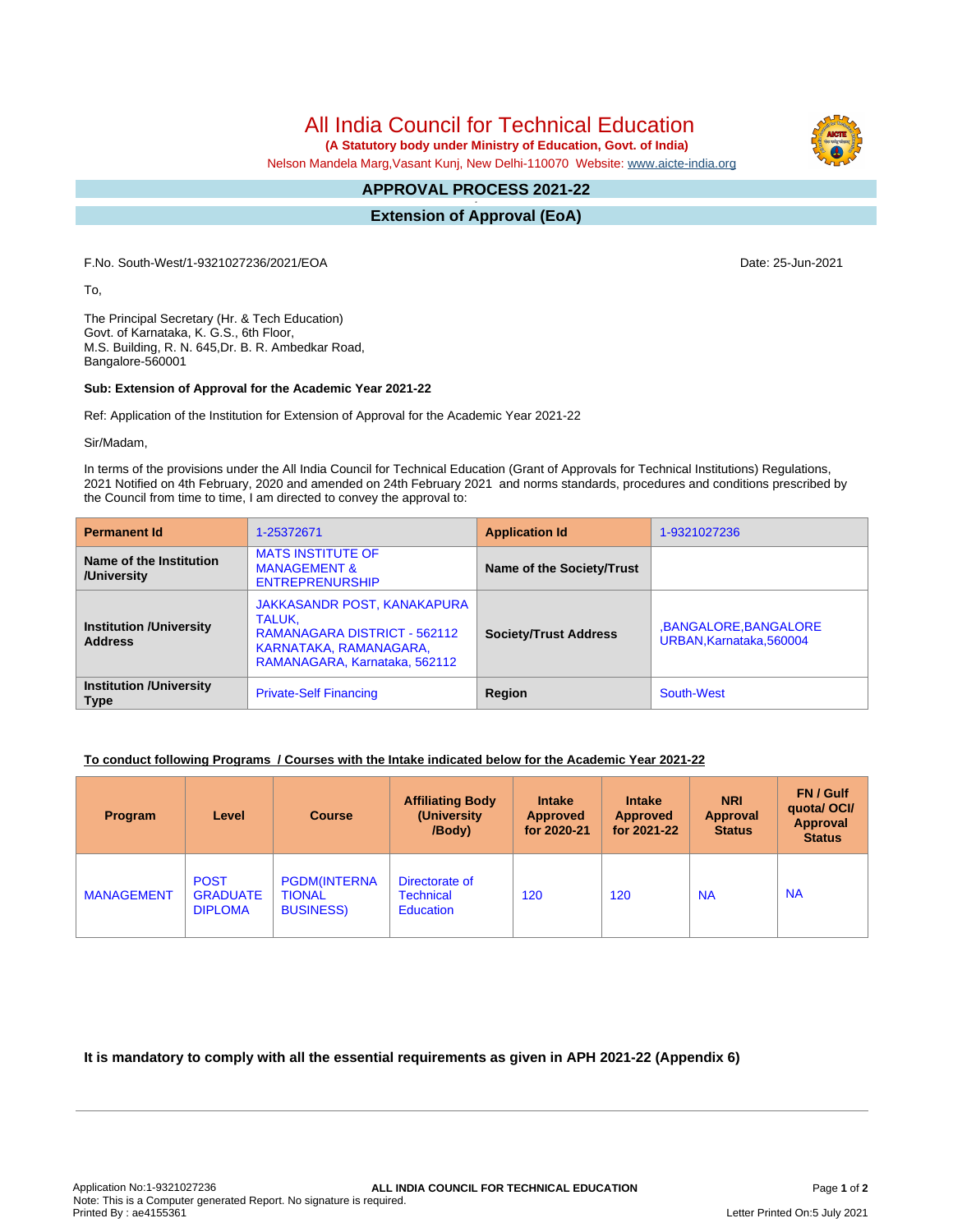All India Council for Technical Education

 **(A Statutory body under Ministry of Education, Govt. of India)**

Nelson Mandela Marg,Vasant Kunj, New Delhi-110070 Website: [www.aicte-india.org](http://www.aicte-india.org)

#### **APPROVAL PROCESS 2021-22 -**

**Extension of Approval (EoA)**

F.No. South-West/1-9321027236/2021/EOA Date: 25-Jun-2021

To,

The Principal Secretary (Hr. & Tech Education) Govt. of Karnataka, K. G.S., 6th Floor, M.S. Building, R. N. 645,Dr. B. R. Ambedkar Road, Bangalore-560001

#### **Sub: Extension of Approval for the Academic Year 2021-22**

Ref: Application of the Institution for Extension of Approval for the Academic Year 2021-22

Sir/Madam,

In terms of the provisions under the All India Council for Technical Education (Grant of Approvals for Technical Institutions) Regulations, 2021 Notified on 4th February, 2020 and amended on 24th February 2021 and norms standards, procedures and conditions prescribed by the Council from time to time, I am directed to convey the approval to:

| <b>Permanent Id</b>                              | 1-25372671                                                                                                                       | <b>Application Id</b>        | 1-9321027236                                   |  |
|--------------------------------------------------|----------------------------------------------------------------------------------------------------------------------------------|------------------------------|------------------------------------------------|--|
| Name of the Institution<br>/University           | <b>MATS INSTITUTE OF</b><br><b>MANAGEMENT &amp;</b><br><b>ENTREPRENURSHIP</b>                                                    | Name of the Society/Trust    |                                                |  |
| <b>Institution /University</b><br><b>Address</b> | JAKKASANDR POST, KANAKAPURA<br>TALUK.<br>RAMANAGARA DISTRICT - 562112<br>KARNATAKA, RAMANAGARA,<br>RAMANAGARA, Karnataka, 562112 | <b>Society/Trust Address</b> | ,BANGALORE,BANGALORE<br>URBAN.Karnataka.560004 |  |
| <b>Institution /University</b><br><b>Type</b>    | <b>Private-Self Financing</b>                                                                                                    | Region                       | South-West                                     |  |

## **To conduct following Programs / Courses with the Intake indicated below for the Academic Year 2021-22**

| <b>Program</b>    | Level                                            | <b>Course</b>                                            | <b>Affiliating Body</b><br>(University)<br>/Body)      | <b>Intake</b><br><b>Approved</b><br>for 2020-21 | <b>Intake</b><br><b>Approved</b><br>for 2021-22 | <b>NRI</b><br>Approval<br><b>Status</b> | FN / Gulf<br>quotal OCI/<br>Approval<br><b>Status</b> |
|-------------------|--------------------------------------------------|----------------------------------------------------------|--------------------------------------------------------|-------------------------------------------------|-------------------------------------------------|-----------------------------------------|-------------------------------------------------------|
| <b>MANAGEMENT</b> | <b>POST</b><br><b>GRADUATE</b><br><b>DIPLOMA</b> | <b>PGDM(INTERNA</b><br><b>TIONAL</b><br><b>BUSINESS)</b> | Directorate of<br><b>Technical</b><br><b>Education</b> | 120                                             | 120                                             | <b>NA</b>                               | <b>NA</b>                                             |

**It is mandatory to comply with all the essential requirements as given in APH 2021-22 (Appendix 6)**